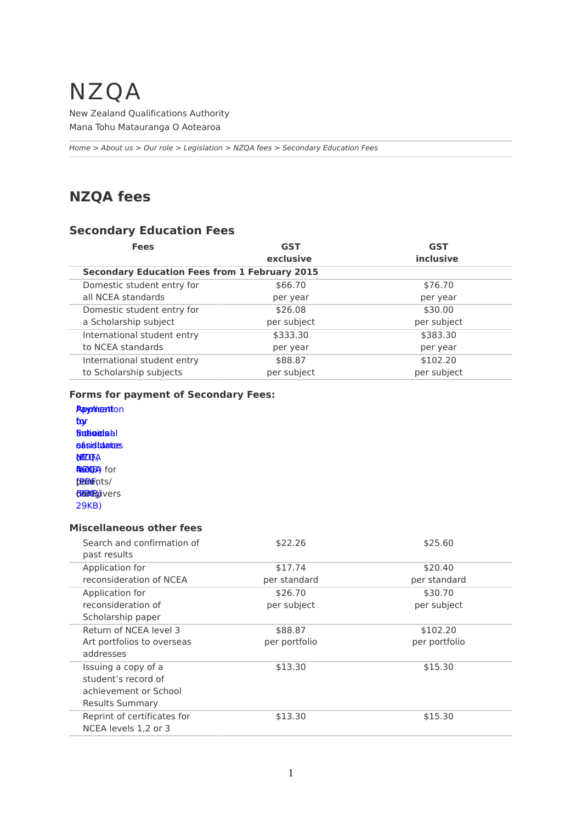# NZQA

New Zealand Qualifications Authority Mana Tohu Matauranga O Aotearoa

*[Home](http://www.nzqa.govt.nz/home) > [About us](http://www.nzqa.govt.nz/about-us/) > [Our role](http://www.nzqa.govt.nz/about-us/our-role/) > [Legislation](http://www.nzqa.govt.nz/about-us/our-role/legislation/) > [NZQA fees](http://www.nzqa.govt.nz/about-us/our-role/legislation/fees/nzqa-fees/) > Secondary Education Fees*

## **NZQA fees**

## **Secondary Education Fees**

| <b>Fees</b>                 | <b>GST</b><br>exclusive | <b>GST</b><br>inclusive |                                                      |  |
|-----------------------------|-------------------------|-------------------------|------------------------------------------------------|--|
|                             |                         |                         | <b>Secondary Education Fees from 1 February 2015</b> |  |
| Domestic student entry for  | \$66.70                 | \$76.70                 |                                                      |  |
| all NCEA standards          | per year                | per year                |                                                      |  |
| Domestic student entry for  | \$26.08                 | \$30.00                 |                                                      |  |
| a Scholarship subject       | per subject             | per subject             |                                                      |  |
| International student entry | \$333.30                | \$383.30                |                                                      |  |
| to NCEA standards           | per year                | per year                |                                                      |  |
| International student entry | \$88.87                 | \$102.20                |                                                      |  |
| to Scholarship subjects     | per subject             | per subject             |                                                      |  |

### **Forms for payment of Secondary Fees:**

**Papyrimention** by [fo](http://www.nzqa.govt.nz/assets/qualifications-and-standards/qualifications/ncea/Entry-into-NCEA/school-payment-form.pdf)[r](http://www.nzqa.govt.nz/assets/qualifications-and-standards/qualifications/ncea/Application-For-Financial-Assistance.pdf) finalia alderdis la l **assistantes ofzio**fa **ALGERA)** for fæærents/ da **Man**g) vers [29KB\)](http://www.nzqa.govt.nz/assets/qualifications-and-standards/qualifications/ncea/Entry-into-NCEA/School-Candidate-Form-NQF-Fees.pdf)

#### **Miscellaneous other fees**

| Search and confirmation of<br>past results | \$22.26       | \$25.60       |
|--------------------------------------------|---------------|---------------|
| Application for                            | \$17.74       | \$20.40       |
| reconsideration of NCEA                    | per standard  | per standard  |
| Application for                            | \$26.70       | \$30.70       |
| reconsideration of                         | per subject   | per subject   |
| Scholarship paper                          |               |               |
| Return of NCEA level 3                     | \$88.87       | \$102.20      |
| Art portfolios to overseas                 | per portfolio | per portfolio |
| addresses                                  |               |               |
| Issuing a copy of a                        | \$13.30       | \$15.30       |
| student's record of                        |               |               |
| achievement or School                      |               |               |
| <b>Results Summary</b>                     |               |               |
| Reprint of certificates for                | \$13.30       | \$15.30       |
| NCEA levels 1.2 or 3                       |               |               |